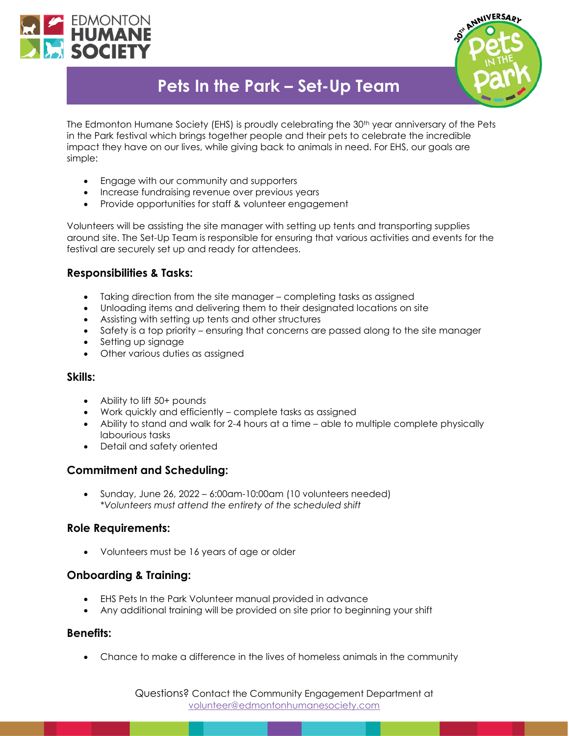



# **Pets In the Park – Set-Up Team**

The Edmonton Humane Society (EHS) is proudly celebrating the 30<sup>th</sup> year anniversary of the Pets in the Park festival which brings together people and their pets to celebrate the incredible impact they have on our lives, while giving back to animals in need. For EHS, our goals are simple:

- Engage with our community and supporters
- Increase fundraising revenue over previous years
- Provide opportunities for staff & volunteer engagement

Volunteers will be assisting the site manager with setting up tents and transporting supplies around site. The Set-Up Team is responsible for ensuring that various activities and events for the festival are securely set up and ready for attendees.

## **Responsibilities & Tasks:**

- Taking direction from the site manager completing tasks as assigned
- Unloading items and delivering them to their designated locations on site
- Assisting with setting up tents and other structures
- Safety is a top priority ensuring that concerns are passed along to the site manager
- Setting up signage
- Other various duties as assigned

#### **Skills:**

- Ability to lift 50+ pounds
- Work quickly and efficiently complete tasks as assigned
- Ability to stand and walk for 2-4 hours at a time able to multiple complete physically labourious tasks
- Detail and safety oriented

## **Commitment and Scheduling:**

• Sunday, June 26, 2022 – 6:00am-10:00am (10 volunteers needed) *\*Volunteers must attend the entirety of the scheduled shift*

## **Role Requirements:**

• Volunteers must be 16 years of age or older

## **Onboarding & Training:**

- EHS Pets In the Park Volunteer manual provided in advance
- Any additional training will be provided on site prior to beginning your shift

#### **Benefits:**

• Chance to make a difference in the lives of homeless animals in the community

Questions? Contact the Community Engagement Department at [volunteer@edmontonhumanesociety.com](mailto:volunteer@edmontonhumanesociety.com)